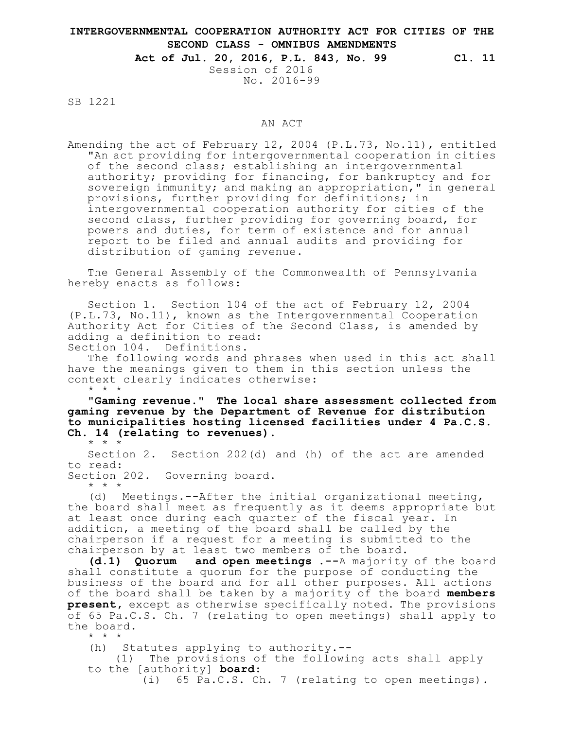## **INTERGOVERNMENTAL COOPERATION AUTHORITY ACT FOR CITIES OF THE SECOND CLASS - OMNIBUS AMENDMENTS**

**Act of Jul. 20, 2016, P.L. 843, No. 99 Cl. 11**

Session of 2016 No. 2016-99

SB 1221

## AN ACT

Amending the act of February 12, 2004 (P.L.73, No.11), entitled "An act providing for intergovernmental cooperation in cities of the second class; establishing an intergovernmental authority; providing for financing, for bankruptcy and for sovereign immunity; and making an appropriation," in general provisions, further providing for definitions; in intergovernmental cooperation authority for cities of the second class, further providing for governing board, for powers and duties, for term of existence and for annual report to be filed and annual audits and providing for distribution of gaming revenue.

The General Assembly of the Commonwealth of Pennsylvania hereby enacts as follows:

Section 1. Section 104 of the act of February 12, 2004 (P.L.73, No.11), known as the Intergovernmental Cooperation Authority Act for Cities of the Second Class, is amended by adding a definition to read:

Section 104. Definitions.

The following words and phrases when used in this act shall have the meanings given to them in this section unless the context clearly indicates otherwise: \* \* \*

**"Gaming revenue." The local share assessment collected from gaming revenue by the Department of Revenue for distribution to municipalities hosting licensed facilities under 4 Pa.C.S. Ch. 14 (relating to revenues).**

\* \* \*

Section 2. Section 202(d) and (h) of the act are amended to read: Section 202. Governing board.

\* \* \*

(d) Meetings.--After the initial organizational meeting, the board shall meet as frequently as it deems appropriate but at least once during each quarter of the fiscal year. In addition, a meeting of the board shall be called by the chairperson if a request for a meeting is submitted to the chairperson by at least two members of the board.

**(d.1) Quorum and open meetings .--**A majority of the board shall constitute a quorum for the purpose of conducting the business of the board and for all other purposes. All actions of the board shall be taken by a majority of the board **members present,** except as otherwise specifically noted. The provisions of 65 Pa.C.S. Ch. 7 (relating to open meetings) shall apply to the board.

\* \* \*

(h) Statutes applying to authority.--

(1) The provisions of the following acts shall apply to the [authority] **board**:

(i) 65 Pa.C.S. Ch. 7 (relating to open meetings).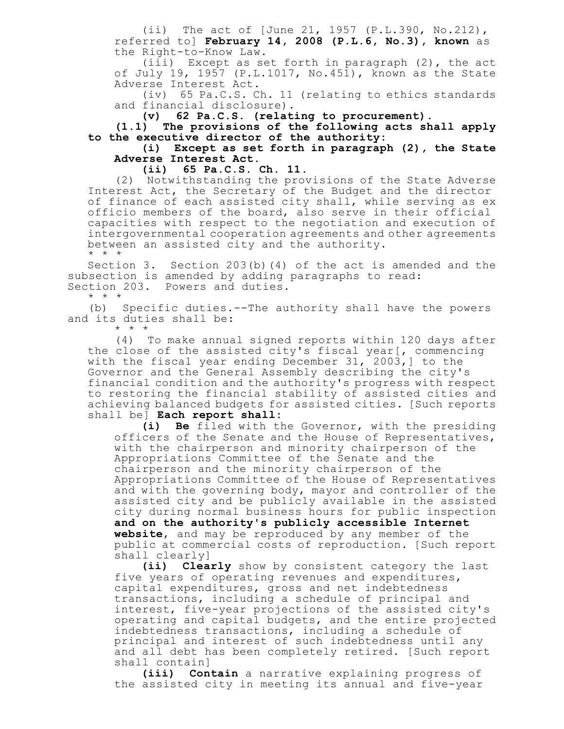(ii) The act of [June 21, 1957 (P.L.390, No.212), referred to] **February 14, 2008 (P.L.6, No.3), known** as the Right-to-Know Law.

(iii) Except as set forth in paragraph (2), the act of July 19, 1957 (P.L.1017, No.451), known as the State Adverse Interest Act.

(iv) 65 Pa.C.S. Ch. 11 (relating to ethics standards and financial disclosure).

**(v) 62 Pa.C.S. (relating to procurement).**

**(1.1) The provisions of the following acts shall apply to the executive director of the authority:**

**(i) Except as set forth in paragraph (2), the State Adverse Interest Act.**

**(ii) 65 Pa.C.S. Ch. 11.**

(2) Notwithstanding the provisions of the State Adverse Interest Act, the Secretary of the Budget and the director of finance of each assisted city shall, while serving as ex officio members of the board, also serve in their official capacities with respect to the negotiation and execution of intergovernmental cooperation agreements and other agreements between an assisted city and the authority. \* \* \*

Section 3. Section 203(b)(4) of the act is amended and the subsection is amended by adding paragraphs to read: Section 203. Powers and duties.

\* \* \*

(b) Specific duties.--The authority shall have the powers and its duties shall be: \* \* \*

(4) To make annual signed reports within 120 days after the close of the assisted city's fiscal year[, commencing with the fiscal year ending December 31, 2003,] to the Governor and the General Assembly describing the city's financial condition and the authority's progress with respect to restoring the financial stability of assisted cities and achieving balanced budgets for assisted cities. [Such reports shall be] **Each report shall:**

**(i) Be** filed with the Governor, with the presiding officers of the Senate and the House of Representatives, with the chairperson and minority chairperson of the Appropriations Committee of the Senate and the chairperson and the minority chairperson of the Appropriations Committee of the House of Representatives and with the governing body, mayor and controller of the assisted city and be publicly available in the assisted city during normal business hours for public inspection **and on the authority's publicly accessible Internet website**, and may be reproduced by any member of the public at commercial costs of reproduction. [Such report shall clearly]

**(ii) Clearly** show by consistent category the last five years of operating revenues and expenditures, capital expenditures, gross and net indebtedness transactions, including a schedule of principal and interest, five-year projections of the assisted city's operating and capital budgets, and the entire projected indebtedness transactions, including a schedule of principal and interest of such indebtedness until any and all debt has been completely retired. [Such report shall contain]

**(iii) Contain** a narrative explaining progress of the assisted city in meeting its annual and five-year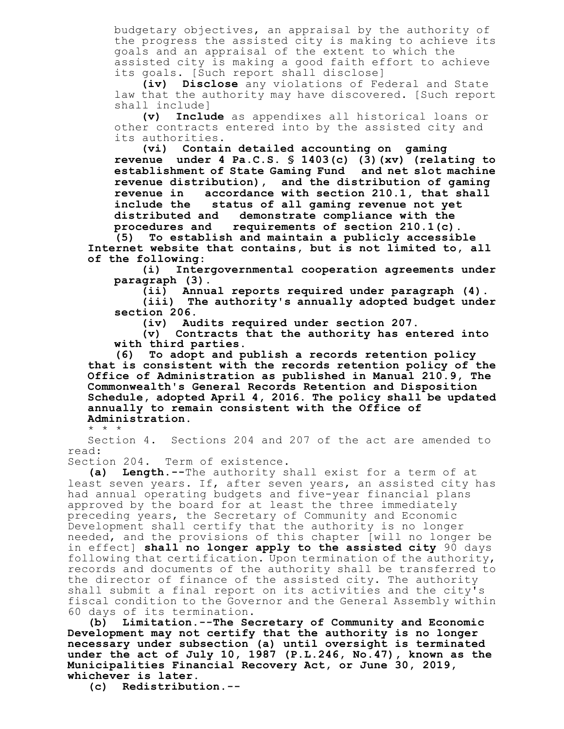budgetary objectives, an appraisal by the authority of the progress the assisted city is making to achieve its goals and an appraisal of the extent to which the assisted city is making a good faith effort to achieve its goals. [Such report shall disclose]

**(iv) Disclose** any violations of Federal and State law that the authority may have discovered. [Such report shall include]

**(v) Include** as appendixes all historical loans or other contracts entered into by the assisted city and its authorities.

**(vi) Contain detailed accounting on gaming revenue under 4 Pa.C.S. § 1403(c) (3)(xv) (relating to establishment of State Gaming Fund and net slot machine revenue distribution), and the distribution of gaming revenue in accordance with section 210.1, that shall include the status of all gaming revenue not yet distributed and demonstrate compliance with the procedures and requirements of section 210.1(c).**

**(5) To establish and maintain a publicly accessible Internet website that contains, but is not limited to, all of the following:**

**(i) Intergovernmental cooperation agreements under paragraph (3).**

**(ii) Annual reports required under paragraph (4).**

**(iii) The authority's annually adopted budget under section 206.**

**(iv) Audits required under section 207.**

**(v) Contracts that the authority has entered into with third parties.**

**(6) To adopt and publish a records retention policy that is consistent with the records retention policy of the Office of Administration as published in Manual 210.9, The Commonwealth's General Records Retention and Disposition Schedule, adopted April 4, 2016. The policy shall be updated annually to remain consistent with the Office of Administration.**

\* \* \*

Section 4. Sections 204 and 207 of the act are amended to read:

Section 204. Term of existence.

**(a) Length.--**The authority shall exist for a term of at least seven years. If, after seven years, an assisted city has had annual operating budgets and five-year financial plans approved by the board for at least the three immediately preceding years, the Secretary of Community and Economic Development shall certify that the authority is no longer needed, and the provisions of this chapter [will no longer be in effect] **shall no longer apply to the assisted city** 90 days following that certification. Upon termination of the authority, records and documents of the authority shall be transferred to the director of finance of the assisted city. The authority shall submit a final report on its activities and the city's fiscal condition to the Governor and the General Assembly within 60 days of its termination.

**(b) Limitation.--The Secretary of Community and Economic Development may not certify that the authority is no longer necessary under subsection (a) until oversight is terminated under the act of July 10, 1987 (P.L.246, No.47), known as the Municipalities Financial Recovery Act, or June 30, 2019, whichever is later.**

**(c) Redistribution.--**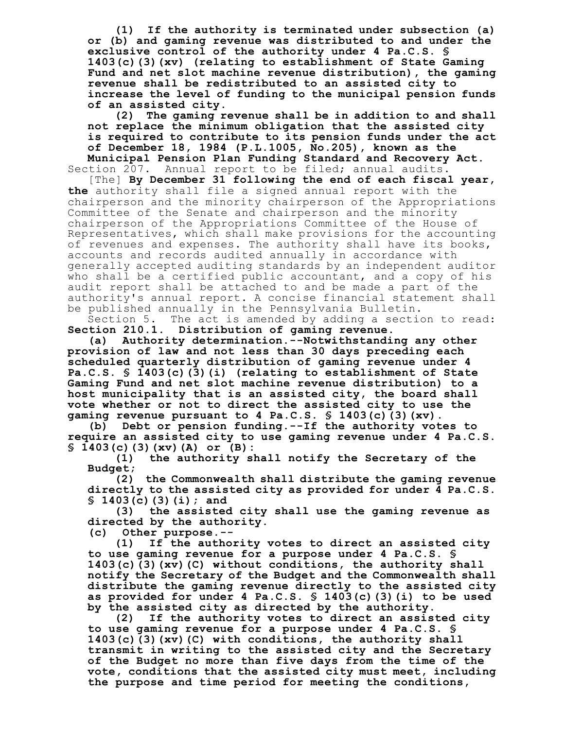**(1) If the authority is terminated under subsection (a) or (b) and gaming revenue was distributed to and under the exclusive control of the authority under 4 Pa.C.S. § 1403(c)(3)(xv) (relating to establishment of State Gaming Fund and net slot machine revenue distribution), the gaming revenue shall be redistributed to an assisted city to increase the level of funding to the municipal pension funds of an assisted city.**

**(2) The gaming revenue shall be in addition to and shall not replace the minimum obligation that the assisted city is required to contribute to its pension funds under the act of December 18, 1984 (P.L.1005, No.205), known as the Municipal Pension Plan Funding Standard and Recovery Act.**

Section 207. Annual report to be filed; annual audits.

[The] **By December 31 following the end of each fiscal year, the** authority shall file a signed annual report with the chairperson and the minority chairperson of the Appropriations Committee of the Senate and chairperson and the minority chairperson of the Appropriations Committee of the House of Representatives, which shall make provisions for the accounting of revenues and expenses. The authority shall have its books, accounts and records audited annually in accordance with generally accepted auditing standards by an independent auditor who shall be a certified public accountant, and a copy of his audit report shall be attached to and be made a part of the authority's annual report. A concise financial statement shall be published annually in the Pennsylvania Bulletin.

Section 5. The act is amended by adding a section to read: **Section 210.1. Distribution of gaming revenue.**

**(a) Authority determination.--Notwithstanding any other provision of law and not less than 30 days preceding each scheduled quarterly distribution of gaming revenue under 4 Pa.C.S. § 1403(c)(3)(i) (relating to establishment of State Gaming Fund and net slot machine revenue distribution) to a host municipality that is an assisted city, the board shall vote whether or not to direct the assisted city to use the gaming revenue pursuant to 4 Pa.C.S. § 1403(c)(3)(xv).**

**(b) Debt or pension funding.--If the authority votes to require an assisted city to use gaming revenue under 4 Pa.C.S. § 1403(c)(3)(xv)(A) or (B):**

**(1) the authority shall notify the Secretary of the Budget;**

**(2) the Commonwealth shall distribute the gaming revenue directly to the assisted city as provided for under 4 Pa.C.S. § 1403(c)(3)(i); and**

**(3) the assisted city shall use the gaming revenue as directed by the authority.**

**(c) Other purpose.--**

**(1) If the authority votes to direct an assisted city to use gaming revenue for a purpose under 4 Pa.C.S. § 1403(c)(3)(xv)(C) without conditions, the authority shall notify the Secretary of the Budget and the Commonwealth shall distribute the gaming revenue directly to the assisted city as provided for under 4 Pa.C.S. § 1403(c)(3)(i) to be used by the assisted city as directed by the authority.**

**(2) If the authority votes to direct an assisted city to use gaming revenue for a purpose under 4 Pa.C.S. § 1403(c)(3)(xv)(C) with conditions, the authority shall transmit in writing to the assisted city and the Secretary of the Budget no more than five days from the time of the vote, conditions that the assisted city must meet, including the purpose and time period for meeting the conditions,**